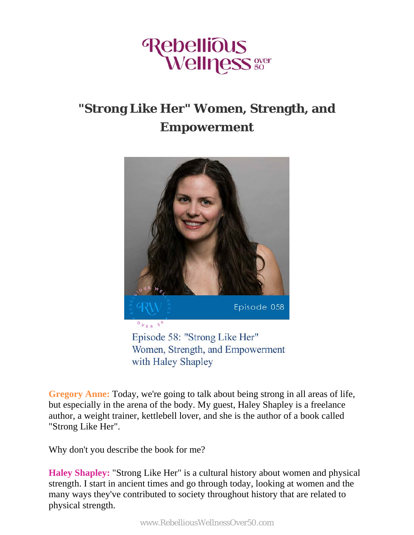

## **"Strong Like Her" Women, Strength, and Empowerment**



with Haley Shapley

**Gregory Anne:** Today, we're going to talk about being strong in all areas of life, but especially in the arena of the body. My guest, Haley Shapley is a freelance author, a weight trainer, kettlebell lover, and she is the author of a book called "Strong Like Her".

Why don't you describe the book for me?

**Haley Shapley:** "Strong Like Her" is a cultural history about women and physical strength. I start in ancient times and go through today, looking at women and the many ways they've contributed to society throughout history that are related to physical strength.

www.RebelliousWellnessOver50.com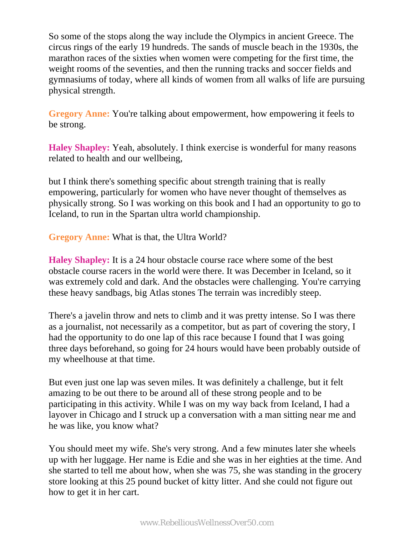So some of the stops along the way include the Olympics in ancient Greece. The circus rings of the early 19 hundreds. The sands of muscle beach in the 1930s, the marathon races of the sixties when women were competing for the first time, the weight rooms of the seventies, and then the running tracks and soccer fields and gymnasiums of today, where all kinds of women from all walks of life are pursuing physical strength.

**Gregory Anne:** You're talking about empowerment, how empowering it feels to be strong.

**Haley Shapley:** Yeah, absolutely. I think exercise is wonderful for many reasons related to health and our wellbeing,

but I think there's something specific about strength training that is really empowering, particularly for women who have never thought of themselves as physically strong. So I was working on this book and I had an opportunity to go to Iceland, to run in the Spartan ultra world championship.

**Gregory Anne:** What is that, the Ultra World?

**Haley Shapley:** It is a 24 hour obstacle course race where some of the best obstacle course racers in the world were there. It was December in Iceland, so it was extremely cold and dark. And the obstacles were challenging. You're carrying these heavy sandbags, big Atlas stones The terrain was incredibly steep.

There's a javelin throw and nets to climb and it was pretty intense. So I was there as a journalist, not necessarily as a competitor, but as part of covering the story, I had the opportunity to do one lap of this race because I found that I was going three days beforehand, so going for 24 hours would have been probably outside of my wheelhouse at that time.

But even just one lap was seven miles. It was definitely a challenge, but it felt amazing to be out there to be around all of these strong people and to be participating in this activity. While I was on my way back from Iceland, I had a layover in Chicago and I struck up a conversation with a man sitting near me and he was like, you know what?

You should meet my wife. She's very strong. And a few minutes later she wheels up with her luggage. Her name is Edie and she was in her eighties at the time. And she started to tell me about how, when she was 75, she was standing in the grocery store looking at this 25 pound bucket of kitty litter. And she could not figure out how to get it in her cart.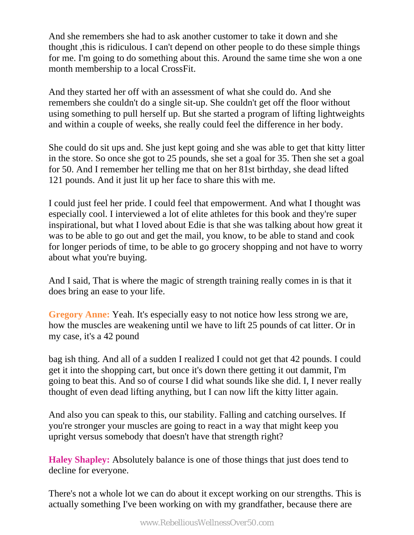And she remembers she had to ask another customer to take it down and she thought ,this is ridiculous. I can't depend on other people to do these simple things for me. I'm going to do something about this. Around the same time she won a one month membership to a local CrossFit.

And they started her off with an assessment of what she could do. And she remembers she couldn't do a single sit-up. She couldn't get off the floor without using something to pull herself up. But she started a program of lifting lightweights and within a couple of weeks, she really could feel the difference in her body.

She could do sit ups and. She just kept going and she was able to get that kitty litter in the store. So once she got to 25 pounds, she set a goal for 35. Then she set a goal for 50. And I remember her telling me that on her 81st birthday, she dead lifted 121 pounds. And it just lit up her face to share this with me.

I could just feel her pride. I could feel that empowerment. And what I thought was especially cool. I interviewed a lot of elite athletes for this book and they're super inspirational, but what I loved about Edie is that she was talking about how great it was to be able to go out and get the mail, you know, to be able to stand and cook for longer periods of time, to be able to go grocery shopping and not have to worry about what you're buying.

And I said, That is where the magic of strength training really comes in is that it does bring an ease to your life.

**Gregory Anne:** Yeah. It's especially easy to not notice how less strong we are, how the muscles are weakening until we have to lift 25 pounds of cat litter. Or in my case, it's a 42 pound

bag ish thing. And all of a sudden I realized I could not get that 42 pounds. I could get it into the shopping cart, but once it's down there getting it out dammit, I'm going to beat this. And so of course I did what sounds like she did. I, I never really thought of even dead lifting anything, but I can now lift the kitty litter again.

And also you can speak to this, our stability. Falling and catching ourselves. If you're stronger your muscles are going to react in a way that might keep you upright versus somebody that doesn't have that strength right?

**Haley Shapley:** Absolutely balance is one of those things that just does tend to decline for everyone.

There's not a whole lot we can do about it except working on our strengths. This is actually something I've been working on with my grandfather, because there are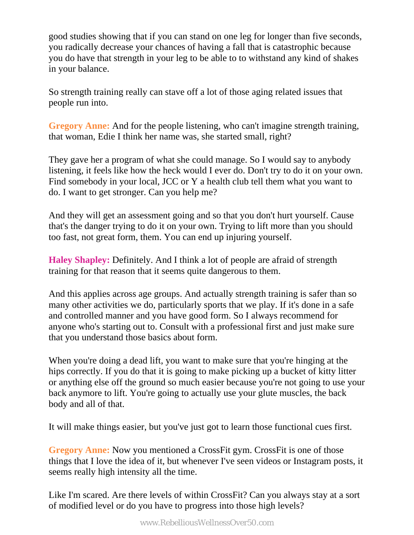good studies showing that if you can stand on one leg for longer than five seconds, you radically decrease your chances of having a fall that is catastrophic because you do have that strength in your leg to be able to to withstand any kind of shakes in your balance.

So strength training really can stave off a lot of those aging related issues that people run into.

**Gregory Anne:** And for the people listening, who can't imagine strength training, that woman, Edie I think her name was, she started small, right?

They gave her a program of what she could manage. So I would say to anybody listening, it feels like how the heck would I ever do. Don't try to do it on your own. Find somebody in your local, JCC or Y a health club tell them what you want to do. I want to get stronger. Can you help me?

And they will get an assessment going and so that you don't hurt yourself. Cause that's the danger trying to do it on your own. Trying to lift more than you should too fast, not great form, them. You can end up injuring yourself.

**Haley Shapley:** Definitely. And I think a lot of people are afraid of strength training for that reason that it seems quite dangerous to them.

And this applies across age groups. And actually strength training is safer than so many other activities we do, particularly sports that we play. If it's done in a safe and controlled manner and you have good form. So I always recommend for anyone who's starting out to. Consult with a professional first and just make sure that you understand those basics about form.

When you're doing a dead lift, you want to make sure that you're hinging at the hips correctly. If you do that it is going to make picking up a bucket of kitty litter or anything else off the ground so much easier because you're not going to use your back anymore to lift. You're going to actually use your glute muscles, the back body and all of that.

It will make things easier, but you've just got to learn those functional cues first.

**Gregory Anne:** Now you mentioned a CrossFit gym. CrossFit is one of those things that I love the idea of it, but whenever I've seen videos or Instagram posts, it seems really high intensity all the time.

Like I'm scared. Are there levels of within CrossFit? Can you always stay at a sort of modified level or do you have to progress into those high levels?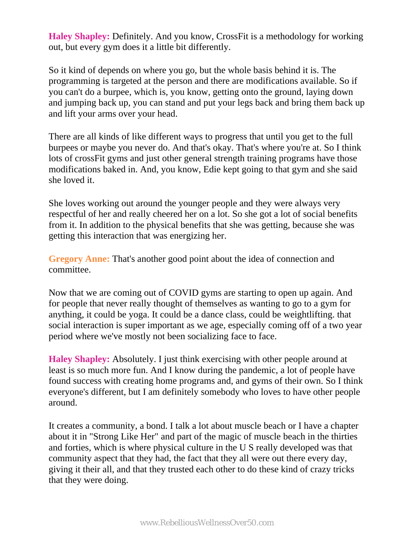**Haley Shapley:** Definitely. And you know, CrossFit is a methodology for working out, but every gym does it a little bit differently.

So it kind of depends on where you go, but the whole basis behind it is. The programming is targeted at the person and there are modifications available. So if you can't do a burpee, which is, you know, getting onto the ground, laying down and jumping back up, you can stand and put your legs back and bring them back up and lift your arms over your head.

There are all kinds of like different ways to progress that until you get to the full burpees or maybe you never do. And that's okay. That's where you're at. So I think lots of crossFit gyms and just other general strength training programs have those modifications baked in. And, you know, Edie kept going to that gym and she said she loved it.

She loves working out around the younger people and they were always very respectful of her and really cheered her on a lot. So she got a lot of social benefits from it. In addition to the physical benefits that she was getting, because she was getting this interaction that was energizing her.

**Gregory Anne:** That's another good point about the idea of connection and committee.

Now that we are coming out of COVID gyms are starting to open up again. And for people that never really thought of themselves as wanting to go to a gym for anything, it could be yoga. It could be a dance class, could be weightlifting. that social interaction is super important as we age, especially coming off of a two year period where we've mostly not been socializing face to face.

**Haley Shapley:** Absolutely. I just think exercising with other people around at least is so much more fun. And I know during the pandemic, a lot of people have found success with creating home programs and, and gyms of their own. So I think everyone's different, but I am definitely somebody who loves to have other people around.

It creates a community, a bond. I talk a lot about muscle beach or I have a chapter about it in "Strong Like Her" and part of the magic of muscle beach in the thirties and forties, which is where physical culture in the U S really developed was that community aspect that they had, the fact that they all were out there every day, giving it their all, and that they trusted each other to do these kind of crazy tricks that they were doing.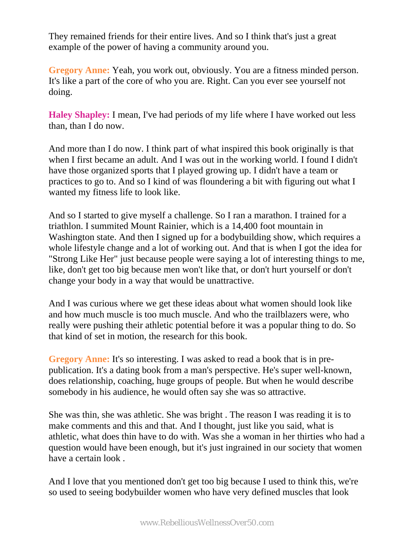They remained friends for their entire lives. And so I think that's just a great example of the power of having a community around you.

**Gregory Anne:** Yeah, you work out, obviously. You are a fitness minded person. It's like a part of the core of who you are. Right. Can you ever see yourself not doing.

**Haley Shapley:** I mean, I've had periods of my life where I have worked out less than, than I do now.

And more than I do now. I think part of what inspired this book originally is that when I first became an adult. And I was out in the working world. I found I didn't have those organized sports that I played growing up. I didn't have a team or practices to go to. And so I kind of was floundering a bit with figuring out what I wanted my fitness life to look like.

And so I started to give myself a challenge. So I ran a marathon. I trained for a triathlon. I summited Mount Rainier, which is a 14,400 foot mountain in Washington state. And then I signed up for a bodybuilding show, which requires a whole lifestyle change and a lot of working out. And that is when I got the idea for "Strong Like Her" just because people were saying a lot of interesting things to me, like, don't get too big because men won't like that, or don't hurt yourself or don't change your body in a way that would be unattractive.

And I was curious where we get these ideas about what women should look like and how much muscle is too much muscle. And who the trailblazers were, who really were pushing their athletic potential before it was a popular thing to do. So that kind of set in motion, the research for this book.

**Gregory Anne:** It's so interesting. I was asked to read a book that is in prepublication. It's a dating book from a man's perspective. He's super well-known, does relationship, coaching, huge groups of people. But when he would describe somebody in his audience, he would often say she was so attractive.

She was thin, she was athletic. She was bright . The reason I was reading it is to make comments and this and that. And I thought, just like you said, what is athletic, what does thin have to do with. Was she a woman in her thirties who had a question would have been enough, but it's just ingrained in our society that women have a certain look .

And I love that you mentioned don't get too big because I used to think this, we're so used to seeing bodybuilder women who have very defined muscles that look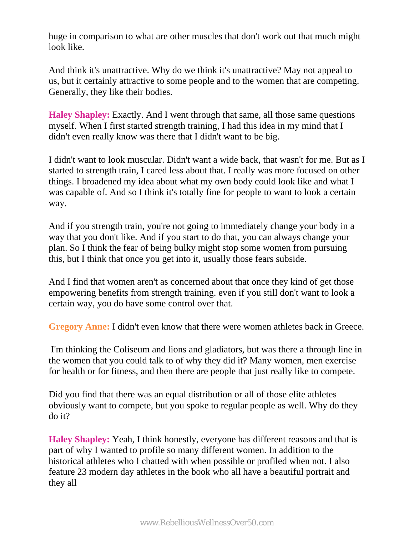huge in comparison to what are other muscles that don't work out that much might look like.

And think it's unattractive. Why do we think it's unattractive? May not appeal to us, but it certainly attractive to some people and to the women that are competing. Generally, they like their bodies.

**Haley Shapley:** Exactly. And I went through that same, all those same questions myself. When I first started strength training, I had this idea in my mind that I didn't even really know was there that I didn't want to be big.

I didn't want to look muscular. Didn't want a wide back, that wasn't for me. But as I started to strength train, I cared less about that. I really was more focused on other things. I broadened my idea about what my own body could look like and what I was capable of. And so I think it's totally fine for people to want to look a certain way.

And if you strength train, you're not going to immediately change your body in a way that you don't like. And if you start to do that, you can always change your plan. So I think the fear of being bulky might stop some women from pursuing this, but I think that once you get into it, usually those fears subside.

And I find that women aren't as concerned about that once they kind of get those empowering benefits from strength training. even if you still don't want to look a certain way, you do have some control over that.

**Gregory Anne:** I didn't even know that there were women athletes back in Greece.

 I'm thinking the Coliseum and lions and gladiators, but was there a through line in the women that you could talk to of why they did it? Many women, men exercise for health or for fitness, and then there are people that just really like to compete.

Did you find that there was an equal distribution or all of those elite athletes obviously want to compete, but you spoke to regular people as well. Why do they do it?

**Haley Shapley:** Yeah, I think honestly, everyone has different reasons and that is part of why I wanted to profile so many different women. In addition to the historical athletes who I chatted with when possible or profiled when not. I also feature 23 modern day athletes in the book who all have a beautiful portrait and they all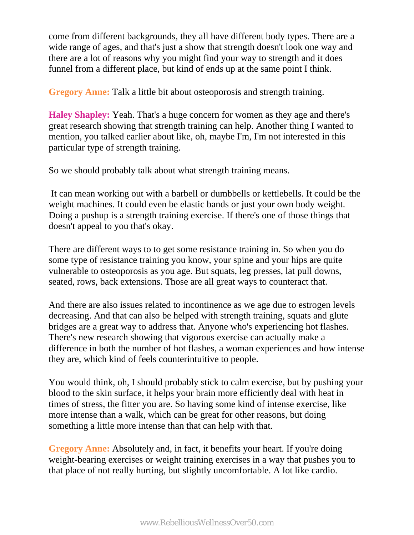come from different backgrounds, they all have different body types. There are a wide range of ages, and that's just a show that strength doesn't look one way and there are a lot of reasons why you might find your way to strength and it does funnel from a different place, but kind of ends up at the same point I think.

**Gregory Anne:** Talk a little bit about osteoporosis and strength training.

**Haley Shapley:** Yeah. That's a huge concern for women as they age and there's great research showing that strength training can help. Another thing I wanted to mention, you talked earlier about like, oh, maybe I'm, I'm not interested in this particular type of strength training.

So we should probably talk about what strength training means.

 It can mean working out with a barbell or dumbbells or kettlebells. It could be the weight machines. It could even be elastic bands or just your own body weight. Doing a pushup is a strength training exercise. If there's one of those things that doesn't appeal to you that's okay.

There are different ways to to get some resistance training in. So when you do some type of resistance training you know, your spine and your hips are quite vulnerable to osteoporosis as you age. But squats, leg presses, lat pull downs, seated, rows, back extensions. Those are all great ways to counteract that.

And there are also issues related to incontinence as we age due to estrogen levels decreasing. And that can also be helped with strength training, squats and glute bridges are a great way to address that. Anyone who's experiencing hot flashes. There's new research showing that vigorous exercise can actually make a difference in both the number of hot flashes, a woman experiences and how intense they are, which kind of feels counterintuitive to people.

You would think, oh, I should probably stick to calm exercise, but by pushing your blood to the skin surface, it helps your brain more efficiently deal with heat in times of stress, the fitter you are. So having some kind of intense exercise, like more intense than a walk, which can be great for other reasons, but doing something a little more intense than that can help with that.

**Gregory Anne:** Absolutely and, in fact, it benefits your heart. If you're doing weight-bearing exercises or weight training exercises in a way that pushes you to that place of not really hurting, but slightly uncomfortable. A lot like cardio.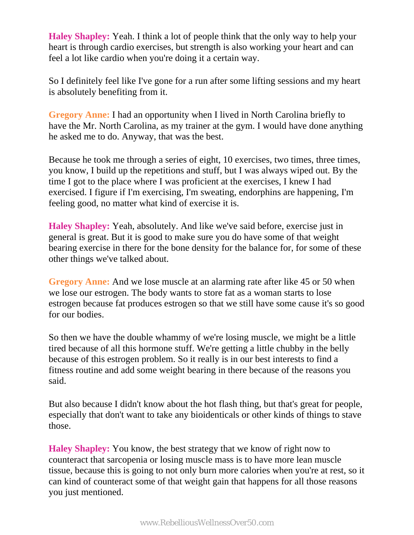**Haley Shapley:** Yeah. I think a lot of people think that the only way to help your heart is through cardio exercises, but strength is also working your heart and can feel a lot like cardio when you're doing it a certain way.

So I definitely feel like I've gone for a run after some lifting sessions and my heart is absolutely benefiting from it.

**Gregory Anne:** I had an opportunity when I lived in North Carolina briefly to have the Mr. North Carolina, as my trainer at the gym. I would have done anything he asked me to do. Anyway, that was the best.

Because he took me through a series of eight, 10 exercises, two times, three times, you know, I build up the repetitions and stuff, but I was always wiped out. By the time I got to the place where I was proficient at the exercises, I knew I had exercised. I figure if I'm exercising, I'm sweating, endorphins are happening, I'm feeling good, no matter what kind of exercise it is.

**Haley Shapley:** Yeah, absolutely. And like we've said before, exercise just in general is great. But it is good to make sure you do have some of that weight bearing exercise in there for the bone density for the balance for, for some of these other things we've talked about.

**Gregory Anne:** And we lose muscle at an alarming rate after like 45 or 50 when we lose our estrogen. The body wants to store fat as a woman starts to lose estrogen because fat produces estrogen so that we still have some cause it's so good for our bodies.

So then we have the double whammy of we're losing muscle, we might be a little tired because of all this hormone stuff. We're getting a little chubby in the belly because of this estrogen problem. So it really is in our best interests to find a fitness routine and add some weight bearing in there because of the reasons you said.

But also because I didn't know about the hot flash thing, but that's great for people, especially that don't want to take any bioidenticals or other kinds of things to stave those.

**Haley Shapley:** You know, the best strategy that we know of right now to counteract that sarcopenia or losing muscle mass is to have more lean muscle tissue, because this is going to not only burn more calories when you're at rest, so it can kind of counteract some of that weight gain that happens for all those reasons you just mentioned.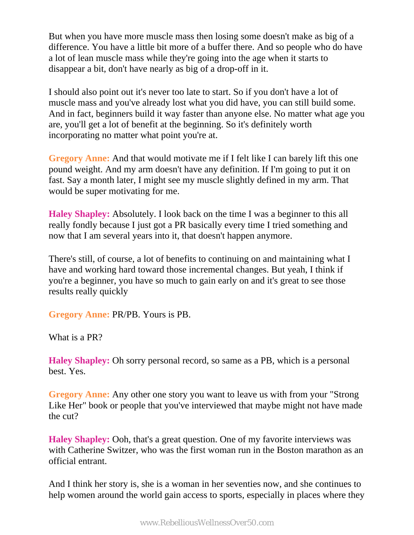But when you have more muscle mass then losing some doesn't make as big of a difference. You have a little bit more of a buffer there. And so people who do have a lot of lean muscle mass while they're going into the age when it starts to disappear a bit, don't have nearly as big of a drop-off in it.

I should also point out it's never too late to start. So if you don't have a lot of muscle mass and you've already lost what you did have, you can still build some. And in fact, beginners build it way faster than anyone else. No matter what age you are, you'll get a lot of benefit at the beginning. So it's definitely worth incorporating no matter what point you're at.

**Gregory Anne:** And that would motivate me if I felt like I can barely lift this one pound weight. And my arm doesn't have any definition. If I'm going to put it on fast. Say a month later, I might see my muscle slightly defined in my arm. That would be super motivating for me.

**Haley Shapley:** Absolutely. I look back on the time I was a beginner to this all really fondly because I just got a PR basically every time I tried something and now that I am several years into it, that doesn't happen anymore.

There's still, of course, a lot of benefits to continuing on and maintaining what I have and working hard toward those incremental changes. But yeah, I think if you're a beginner, you have so much to gain early on and it's great to see those results really quickly

**Gregory Anne:** PR/PB. Yours is PB.

What is a PR?

**Haley Shapley:** Oh sorry personal record, so same as a PB, which is a personal best. Yes.

**Gregory Anne:** Any other one story you want to leave us with from your "Strong Like Her" book or people that you've interviewed that maybe might not have made the cut?

**Haley Shapley:** Ooh, that's a great question. One of my favorite interviews was with Catherine Switzer, who was the first woman run in the Boston marathon as an official entrant.

And I think her story is, she is a woman in her seventies now, and she continues to help women around the world gain access to sports, especially in places where they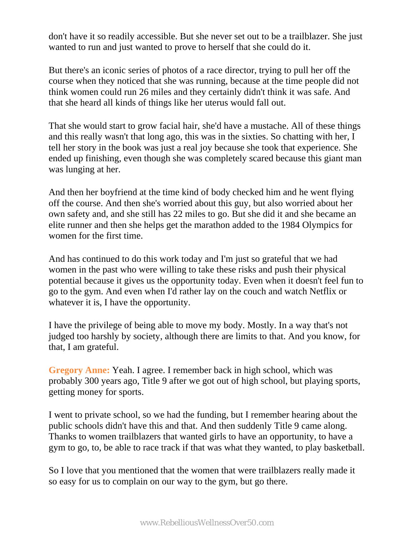don't have it so readily accessible. But she never set out to be a trailblazer. She just wanted to run and just wanted to prove to herself that she could do it.

But there's an iconic series of photos of a race director, trying to pull her off the course when they noticed that she was running, because at the time people did not think women could run 26 miles and they certainly didn't think it was safe. And that she heard all kinds of things like her uterus would fall out.

That she would start to grow facial hair, she'd have a mustache. All of these things and this really wasn't that long ago, this was in the sixties. So chatting with her, I tell her story in the book was just a real joy because she took that experience. She ended up finishing, even though she was completely scared because this giant man was lunging at her.

And then her boyfriend at the time kind of body checked him and he went flying off the course. And then she's worried about this guy, but also worried about her own safety and, and she still has 22 miles to go. But she did it and she became an elite runner and then she helps get the marathon added to the 1984 Olympics for women for the first time.

And has continued to do this work today and I'm just so grateful that we had women in the past who were willing to take these risks and push their physical potential because it gives us the opportunity today. Even when it doesn't feel fun to go to the gym. And even when I'd rather lay on the couch and watch Netflix or whatever it is, I have the opportunity.

I have the privilege of being able to move my body. Mostly. In a way that's not judged too harshly by society, although there are limits to that. And you know, for that, I am grateful.

**Gregory Anne:** Yeah. I agree. I remember back in high school, which was probably 300 years ago, Title 9 after we got out of high school, but playing sports, getting money for sports.

I went to private school, so we had the funding, but I remember hearing about the public schools didn't have this and that. And then suddenly Title 9 came along. Thanks to women trailblazers that wanted girls to have an opportunity, to have a gym to go, to, be able to race track if that was what they wanted, to play basketball.

So I love that you mentioned that the women that were trailblazers really made it so easy for us to complain on our way to the gym, but go there.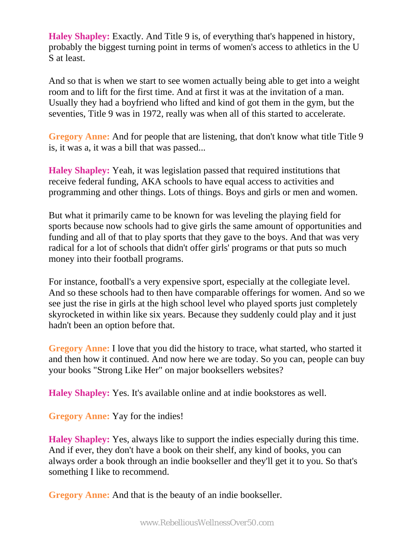**Haley Shapley:** Exactly. And Title 9 is, of everything that's happened in history, probably the biggest turning point in terms of women's access to athletics in the U S at least.

And so that is when we start to see women actually being able to get into a weight room and to lift for the first time. And at first it was at the invitation of a man. Usually they had a boyfriend who lifted and kind of got them in the gym, but the seventies, Title 9 was in 1972, really was when all of this started to accelerate.

**Gregory Anne:** And for people that are listening, that don't know what title Title 9 is, it was a, it was a bill that was passed...

**Haley Shapley:** Yeah, it was legislation passed that required institutions that receive federal funding, AKA schools to have equal access to activities and programming and other things. Lots of things. Boys and girls or men and women.

But what it primarily came to be known for was leveling the playing field for sports because now schools had to give girls the same amount of opportunities and funding and all of that to play sports that they gave to the boys. And that was very radical for a lot of schools that didn't offer girls' programs or that puts so much money into their football programs.

For instance, football's a very expensive sport, especially at the collegiate level. And so these schools had to then have comparable offerings for women. And so we see just the rise in girls at the high school level who played sports just completely skyrocketed in within like six years. Because they suddenly could play and it just hadn't been an option before that.

**Gregory Anne:** I love that you did the history to trace, what started, who started it and then how it continued. And now here we are today. So you can, people can buy your books "Strong Like Her" on major booksellers websites?

**Haley Shapley:** Yes. It's available online and at indie bookstores as well.

**Gregory Anne:** Yay for the indies!

**Haley Shapley:** Yes, always like to support the indies especially during this time. And if ever, they don't have a book on their shelf, any kind of books, you can always order a book through an indie bookseller and they'll get it to you. So that's something I like to recommend.

**Gregory Anne:** And that is the beauty of an indie bookseller.